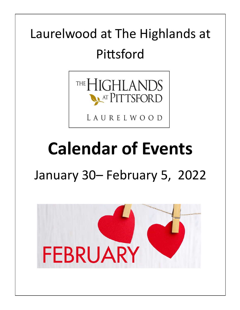## Laurelwood at The Highlands at Pittsford



LAURELWOOD

# **Calendar of Events**

### January 30– February 5, 2022

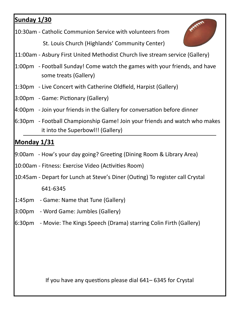#### **Sunday 1/30**

10:30am - Catholic Communion Service with volunteers from

St. Louis Church (Highlands' Community Center)



- 11:00am Asbury First United Methodist Church live stream service (Gallery)
- 1:00pm Football Sunday! Come watch the games with your friends, and have some treats (Gallery)
- 1:30pm Live Concert with Catherine Oldfield, Harpist (Gallery)
- 3:00pm Game: Pictionary (Gallery)
- 4:00pm Join your friends in the Gallery for conversation before dinner
- 6:30pm Football Championship Game! Join your friends and watch who makes it into the Superbowl!! (Gallery)

#### **Monday 1/31**

- 9:00am How's your day going? Greeting (Dining Room & Library Area)
- 10:00am Fitness: Exercise Video (Activities Room)
- 10:45am Depart for Lunch at Steve's Diner (Outing) To register call Crystal 641-6345
- 1:45pm Game: Name that Tune (Gallery)
- 3:00pm Word Game: Jumbles (Gallery)
- 6:30pm Movie: The Kings Speech (Drama) starring Colin Firth (Gallery)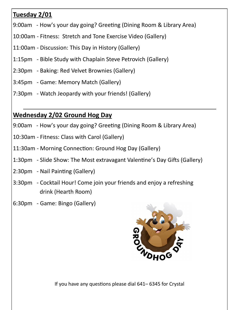#### **Tuesday 2/01**

- 9:00am How's your day going? Greeting (Dining Room & Library Area)
- 10:00am Fitness: Stretch and Tone Exercise Video (Gallery)
- 11:00am Discussion: This Day in History (Gallery)
- 1:15pm Bible Study with Chaplain Steve Petrovich (Gallery)
- 2:30pm Baking: Red Velvet Brownies (Gallery)
- 3:45pm Game: Memory Match (Gallery)
- 7:30pm Watch Jeopardy with your friends! (Gallery)

#### **Wednesday 2/02 Ground Hog Day**

- 9:00am How's your day going? Greeting (Dining Room & Library Area)
- 10:30am Fitness: Class with Carol (Gallery)
- 11:30am Morning Connection: Ground Hog Day (Gallery)
- 1:30pm Slide Show: The Most extravagant Valentine's Day Gifts (Gallery)
- 2:30pm Nail Painting (Gallery)
- 3:30pm Cocktail Hour! Come join your friends and enjoy a refreshing drink (Hearth Room)
- 6:30pm Game: Bingo (Gallery)

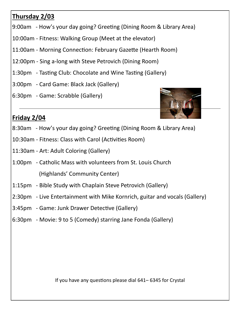#### **Thursday 2/03**

- 9:00am How's your day going? Greeting (Dining Room & Library Area)
- 10:00am Fitness: Walking Group (Meet at the elevator)
- 11:00am Morning Connection: February Gazette (Hearth Room)
- 12:00pm Sing a-long with Steve Petrovich (Dining Room)
- 1:30pm Tasting Club: Chocolate and Wine Tasting (Gallery)
- 3:00pm Card Game: Black Jack (Gallery)
- 6:30pm Game: Scrabble (Gallery)



#### **Friday 2/04**

- 8:30am How's your day going? Greeting (Dining Room & Library Area)
- 10:30am Fitness: Class with Carol (Activities Room)
- 11:30am Art: Adult Coloring (Gallery)
- 1:00pm Catholic Mass with volunteers from St. Louis Church (Highlands' Community Center)
- 1:15pm Bible Study with Chaplain Steve Petrovich (Gallery)
- 2:30pm Live Entertainment with Mike Kornrich, guitar and vocals (Gallery)
- 3:45pm Game: Junk Drawer Detective (Gallery)
- 6:30pm Movie: 9 to 5 (Comedy) starring Jane Fonda (Gallery)